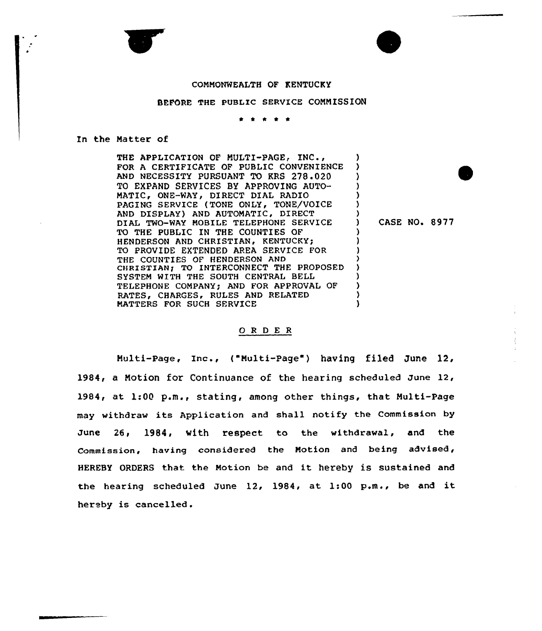## COMMONWEALTH OF RENTUCRY

## BEFORE THE PUBLIC SERVICE COMMISSION

. . . . .

In the Matter of

THE APPLICATION OF MULTI-PAGE, INC., FOR A CERTIFICATE OF PUBLIC CONVENIENCE AND NECESSITY PURSUANT TO KRS 278.020 TO EXPAND SERVICES BY APPROVING AUTO-MATIC, ONE-WAY, DIRECT DIAL RADIO PAGING SERVICE (TONE ONLY, TONE/VOICE AND DISPLAY) AND AUTOMATIC, DIRECT DIAL TWO-WAY MOBILE TELEPHONE SERVICE TO THE PUBLIC IN THE COUNTIES OF HENDERSON AND CHRISTIAN, KENTUCKY; TO PROVIDE EXTENDED AREA SERVICE FOR THE COUNTIES OF HENDERSON AND CHRISTIAN) TO INTERCONNECT THE PROPOSED SYSTEM WITH THE SOUTH CENTRAL BELL TELEPHONE COMPANY; AND FOR APPROVAL OF RATES, CHARGES, RULES AND RELATED MATTERS FOR SUCH SERVICE ) ) ) ) ) ) ) ) ) ) ) ) ) ) )

## ) CASE NO. 8977

)

## ORDER

Multi-Page, Inc., ("Multi-Page") having filed June 12, 1984< a Motion for Continuance of the hearing scheduled June 12, 1984, at 1:00 p.m., stating, among other things, that Multi-Page may withdraw its Application and shall notify the Commission by June 26, 1984, with respect to the withdrawal, and the Commission, having considered the Motion and being advised, HEREBY ORDERS that the Motion be and it hereby is sustained and the hearing scheduled June 12, 1984, at  $1:00$  p.m., be and it hereby is cancelled.